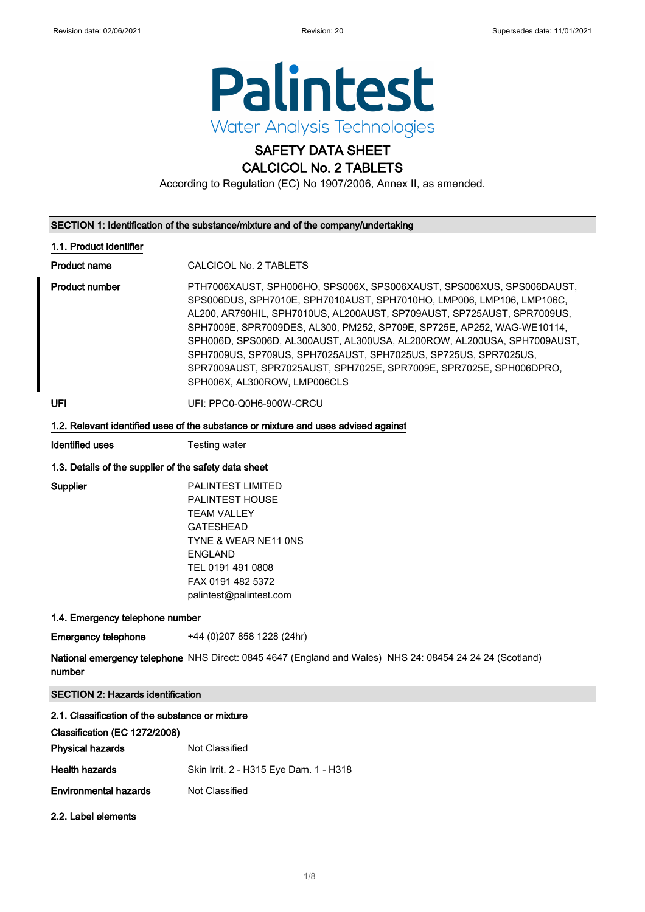

# SAFETY DATA SHEET

CALCICOL No. 2 TABLETS

According to Regulation (EC) No 1907/2006, Annex II, as amended.

## SECTION 1: Identification of the substance/mixture and of the company/undertaking

## 1.1. Product identifier

Product name CALCICOL No. 2 TABLETS

Product number **PTH7006XAUST, SPH006HO, SPS006X, SPS006XAUST, SPS006XUS, SPS006DAUST,** SPS006DUS, SPH7010E, SPH7010AUST, SPH7010HO, LMP006, LMP106, LMP106C, AL200, AR790HIL, SPH7010US, AL200AUST, SP709AUST, SP725AUST, SPR7009US, SPH7009E, SPR7009DES, AL300, PM252, SP709E, SP725E, AP252, WAG-WE10114, SPH006D, SPS006D, AL300AUST, AL300USA, AL200ROW, AL200USA, SPH7009AUST, SPH7009US, SP709US, SPH7025AUST, SPH7025US, SP725US, SPR7025US, SPR7009AUST, SPR7025AUST, SPH7025E, SPR7009E, SPR7025E, SPH006DPRO, SPH006X, AL300ROW, LMP006CLS

UFI UFI: PPC0-Q0H6-900W-CRCU

## 1.2. Relevant identified uses of the substance or mixture and uses advised against

Identified uses Testing water

## 1.3. Details of the supplier of the safety data sheet

Supplier PALINTEST LIMITED PALINTEST HOUSE TEAM VALLEY GATESHEAD TYNE & WEAR NE11 0NS ENGLAND TEL 0191 491 0808 FAX 0191 482 5372 palintest@palintest.com

## 1.4. Emergency telephone number

Emergency telephone +44 (0)207 858 1228 (24hr)

**National emergency telephone** NHS Direct: 0845 4647 (England and Wales) NHS 24: 08454 24 24 24 (Scotland) number

SECTION 2: Hazards identification

| 2.1. Classification of the substance or mixture |                                        |
|-------------------------------------------------|----------------------------------------|
| Classification (EC 1272/2008)                   |                                        |
| <b>Physical hazards</b>                         | Not Classified                         |
| <b>Health hazards</b>                           | Skin Irrit. 2 - H315 Eye Dam. 1 - H318 |
| <b>Environmental hazards</b>                    | Not Classified                         |
| 2.2. Label elements                             |                                        |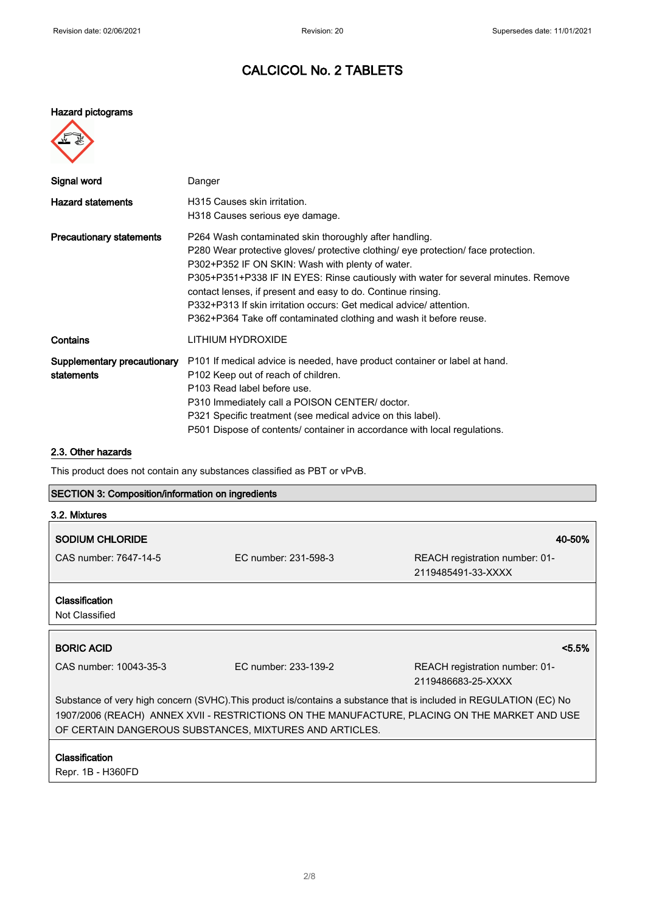## Hazard pictograms

| ᠆<br>製<br>J. |  |
|--------------|--|
|              |  |
|              |  |
|              |  |

| Signal word                               | Danger                                                                                                                                                                                                                                                                                                                                                                                                                                                                                              |
|-------------------------------------------|-----------------------------------------------------------------------------------------------------------------------------------------------------------------------------------------------------------------------------------------------------------------------------------------------------------------------------------------------------------------------------------------------------------------------------------------------------------------------------------------------------|
| <b>Hazard statements</b>                  | H315 Causes skin irritation.<br>H318 Causes serious eye damage.                                                                                                                                                                                                                                                                                                                                                                                                                                     |
| <b>Precautionary statements</b>           | P264 Wash contaminated skin thoroughly after handling.<br>P280 Wear protective gloves/ protective clothing/ eye protection/ face protection.<br>P302+P352 IF ON SKIN: Wash with plenty of water.<br>P305+P351+P338 IF IN EYES: Rinse cautiously with water for several minutes. Remove<br>contact lenses, if present and easy to do. Continue rinsing.<br>P332+P313 If skin irritation occurs: Get medical advice/ attention.<br>P362+P364 Take off contaminated clothing and wash it before reuse. |
| Contains                                  | LITHIUM HYDROXIDE                                                                                                                                                                                                                                                                                                                                                                                                                                                                                   |
| Supplementary precautionary<br>statements | P101 If medical advice is needed, have product container or label at hand.<br>P102 Keep out of reach of children.<br>P103 Read label before use.<br>P310 Immediately call a POISON CENTER/ doctor.<br>P321 Specific treatment (see medical advice on this label).<br>P501 Dispose of contents/ container in accordance with local regulations.                                                                                                                                                      |

## 2.3. Other hazards

This product does not contain any substances classified as PBT or vPvB.

## SECTION 3: Composition/information on ingredients

| 3.2. Mixtures                                                                                                                                                                                                                                                                  |                      |                                                      |
|--------------------------------------------------------------------------------------------------------------------------------------------------------------------------------------------------------------------------------------------------------------------------------|----------------------|------------------------------------------------------|
| <b>SODIUM CHLORIDE</b>                                                                                                                                                                                                                                                         |                      | 40-50%                                               |
| CAS number: 7647-14-5                                                                                                                                                                                                                                                          | FC number: 231-598-3 | REACH registration number: 01-<br>2119485491-33-XXXX |
| <b>Classification</b><br>Not Classified                                                                                                                                                                                                                                        |                      |                                                      |
| <b>BORIC ACID</b>                                                                                                                                                                                                                                                              |                      | $< 5.5\%$                                            |
| CAS number: 10043-35-3                                                                                                                                                                                                                                                         | FC number: 233-139-2 | REACH registration number: 01-<br>2119486683-25-XXXX |
| Substance of very high concern (SVHC). This product is/contains a substance that is included in REGULATION (EC) No<br>1907/2006 (REACH) ANNEX XVII - RESTRICTIONS ON THE MANUFACTURE, PLACING ON THE MARKET AND USE<br>OF CERTAIN DANGEROUS SUBSTANCES, MIXTURES AND ARTICLES. |                      |                                                      |
| <b>Classification</b><br>Repr. 1B - H360FD                                                                                                                                                                                                                                     |                      |                                                      |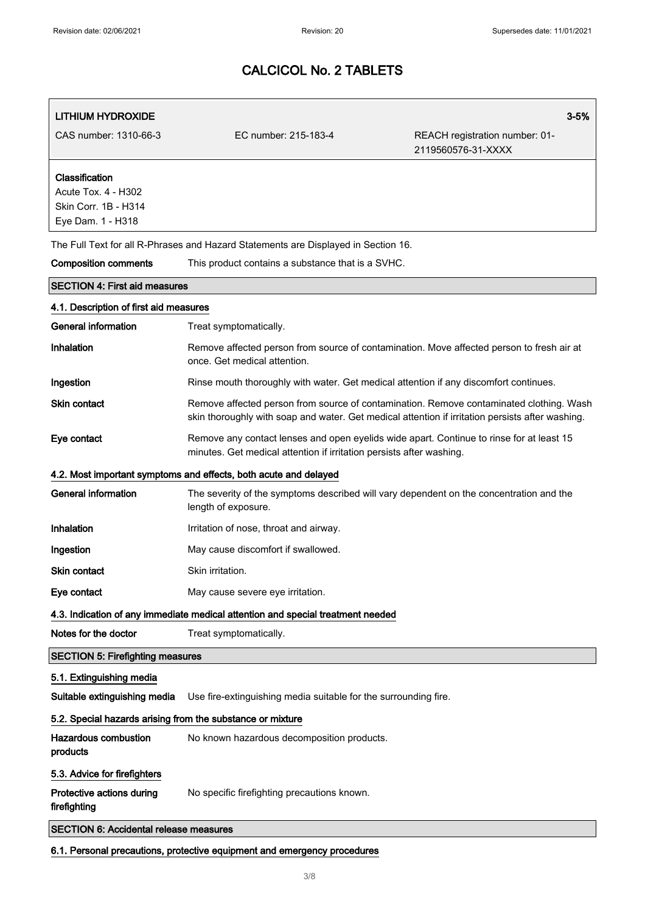| LITHIUM HYDROXIDE                                                                  |                                                                                                                                                                                             | $3 - 5%$                                             |
|------------------------------------------------------------------------------------|---------------------------------------------------------------------------------------------------------------------------------------------------------------------------------------------|------------------------------------------------------|
| CAS number: 1310-66-3                                                              | EC number: 215-183-4                                                                                                                                                                        | REACH registration number: 01-<br>2119560576-31-XXXX |
| Classification<br>Acute Tox. 4 - H302<br>Skin Corr. 1B - H314<br>Eye Dam. 1 - H318 |                                                                                                                                                                                             |                                                      |
|                                                                                    | The Full Text for all R-Phrases and Hazard Statements are Displayed in Section 16.                                                                                                          |                                                      |
| <b>Composition comments</b>                                                        | This product contains a substance that is a SVHC.                                                                                                                                           |                                                      |
| <b>SECTION 4: First aid measures</b>                                               |                                                                                                                                                                                             |                                                      |
| 4.1. Description of first aid measures                                             |                                                                                                                                                                                             |                                                      |
| General information                                                                | Treat symptomatically.                                                                                                                                                                      |                                                      |
| Inhalation                                                                         | Remove affected person from source of contamination. Move affected person to fresh air at<br>once. Get medical attention.                                                                   |                                                      |
| Ingestion                                                                          | Rinse mouth thoroughly with water. Get medical attention if any discomfort continues.                                                                                                       |                                                      |
| Skin contact                                                                       | Remove affected person from source of contamination. Remove contaminated clothing. Wash<br>skin thoroughly with soap and water. Get medical attention if irritation persists after washing. |                                                      |
| Eye contact                                                                        | Remove any contact lenses and open eyelids wide apart. Continue to rinse for at least 15<br>minutes. Get medical attention if irritation persists after washing.                            |                                                      |
|                                                                                    | 4.2. Most important symptoms and effects, both acute and delayed                                                                                                                            |                                                      |
| General information                                                                | The severity of the symptoms described will vary dependent on the concentration and the<br>length of exposure.                                                                              |                                                      |
| Inhalation                                                                         | Irritation of nose, throat and airway.                                                                                                                                                      |                                                      |
| Ingestion                                                                          | May cause discomfort if swallowed.                                                                                                                                                          |                                                      |
| Skin contact                                                                       | Skin irritation.                                                                                                                                                                            |                                                      |
| Eye contact                                                                        | May cause severe eye irritation.                                                                                                                                                            |                                                      |
|                                                                                    | 4.3. Indication of any immediate medical attention and special treatment needed                                                                                                             |                                                      |
| Notes for the doctor                                                               | Treat symptomatically.                                                                                                                                                                      |                                                      |
| <b>SECTION 5: Firefighting measures</b>                                            |                                                                                                                                                                                             |                                                      |
| 5.1. Extinguishing media                                                           |                                                                                                                                                                                             |                                                      |
| Suitable extinguishing media                                                       | Use fire-extinguishing media suitable for the surrounding fire.                                                                                                                             |                                                      |
| 5.2. Special hazards arising from the substance or mixture                         |                                                                                                                                                                                             |                                                      |
| <b>Hazardous combustion</b><br>products                                            | No known hazardous decomposition products.                                                                                                                                                  |                                                      |
| 5.3. Advice for firefighters                                                       |                                                                                                                                                                                             |                                                      |
| Protective actions during<br>firefighting                                          | No specific firefighting precautions known.                                                                                                                                                 |                                                      |
| <b>SECTION 6: Accidental release measures</b>                                      |                                                                                                                                                                                             |                                                      |
|                                                                                    | 6.1. Personal precautions, protective equipment and emergency procedures                                                                                                                    |                                                      |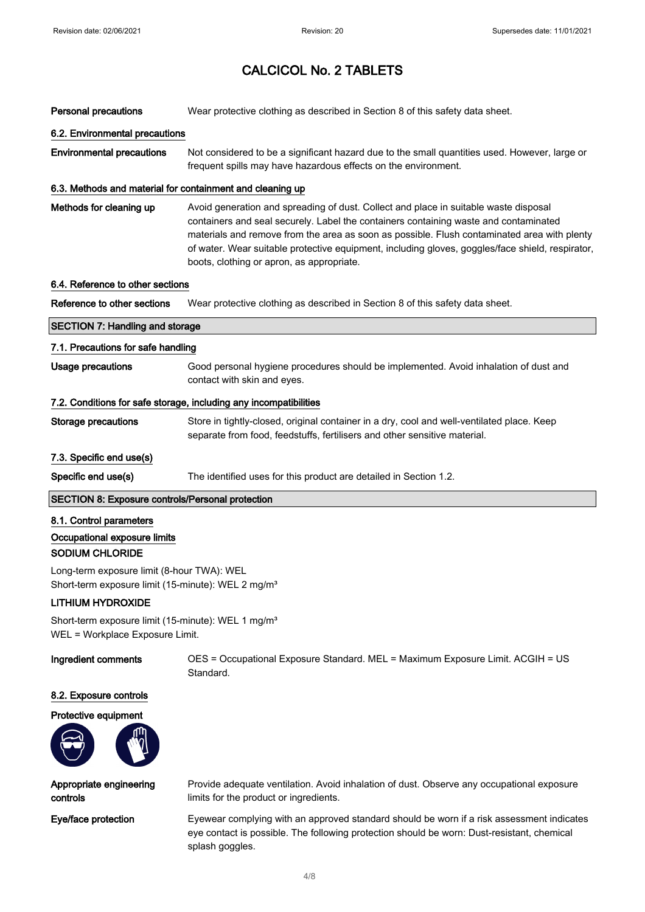| Personal precautions                                                                                         | Wear protective clothing as described in Section 8 of this safety data sheet.                                                                                                                                                                                                                                                                                                                                                |
|--------------------------------------------------------------------------------------------------------------|------------------------------------------------------------------------------------------------------------------------------------------------------------------------------------------------------------------------------------------------------------------------------------------------------------------------------------------------------------------------------------------------------------------------------|
| 6.2. Environmental precautions                                                                               |                                                                                                                                                                                                                                                                                                                                                                                                                              |
| <b>Environmental precautions</b>                                                                             | Not considered to be a significant hazard due to the small quantities used. However, large or<br>frequent spills may have hazardous effects on the environment.                                                                                                                                                                                                                                                              |
| 6.3. Methods and material for containment and cleaning up                                                    |                                                                                                                                                                                                                                                                                                                                                                                                                              |
| Methods for cleaning up                                                                                      | Avoid generation and spreading of dust. Collect and place in suitable waste disposal<br>containers and seal securely. Label the containers containing waste and contaminated<br>materials and remove from the area as soon as possible. Flush contaminated area with plenty<br>of water. Wear suitable protective equipment, including gloves, goggles/face shield, respirator,<br>boots, clothing or apron, as appropriate. |
| 6.4. Reference to other sections                                                                             |                                                                                                                                                                                                                                                                                                                                                                                                                              |
| Reference to other sections                                                                                  | Wear protective clothing as described in Section 8 of this safety data sheet.                                                                                                                                                                                                                                                                                                                                                |
| <b>SECTION 7: Handling and storage</b>                                                                       |                                                                                                                                                                                                                                                                                                                                                                                                                              |
| 7.1. Precautions for safe handling                                                                           |                                                                                                                                                                                                                                                                                                                                                                                                                              |
| <b>Usage precautions</b>                                                                                     | Good personal hygiene procedures should be implemented. Avoid inhalation of dust and<br>contact with skin and eyes.                                                                                                                                                                                                                                                                                                          |
|                                                                                                              | 7.2. Conditions for safe storage, including any incompatibilities                                                                                                                                                                                                                                                                                                                                                            |
| <b>Storage precautions</b>                                                                                   | Store in tightly-closed, original container in a dry, cool and well-ventilated place. Keep<br>separate from food, feedstuffs, fertilisers and other sensitive material.                                                                                                                                                                                                                                                      |
| 7.3. Specific end use(s)                                                                                     |                                                                                                                                                                                                                                                                                                                                                                                                                              |
| Specific end use(s)                                                                                          | The identified uses for this product are detailed in Section 1.2.                                                                                                                                                                                                                                                                                                                                                            |
| <b>SECTION 8: Exposure controls/Personal protection</b>                                                      |                                                                                                                                                                                                                                                                                                                                                                                                                              |
| 8.1. Control parameters                                                                                      |                                                                                                                                                                                                                                                                                                                                                                                                                              |
| Occupational exposure limits<br>SODIUM CHLORIDE                                                              |                                                                                                                                                                                                                                                                                                                                                                                                                              |
| Long-term exposure limit (8-hour TWA): WEL<br>Short-term exposure limit (15-minute): WEL 2 mg/m <sup>3</sup> |                                                                                                                                                                                                                                                                                                                                                                                                                              |
| <b>LITHIUM HYDROXIDE</b>                                                                                     |                                                                                                                                                                                                                                                                                                                                                                                                                              |
| Short-term exposure limit (15-minute): WEL 1 mg/m <sup>3</sup><br>WEL = Workplace Exposure Limit.            |                                                                                                                                                                                                                                                                                                                                                                                                                              |

Ingredient comments OES = Occupational Exposure Standard. MEL = Maximum Exposure Limit. ACGIH = US Standard.

## 8.2. Exposure controls

## Protective equipment



Appropriate engineering controls

Provide adequate ventilation. Avoid inhalation of dust. Observe any occupational exposure limits for the product or ingredients.

Eye/face protection Eyewear complying with an approved standard should be worn if a risk assessment indicates eye contact is possible. The following protection should be worn: Dust-resistant, chemical splash goggles.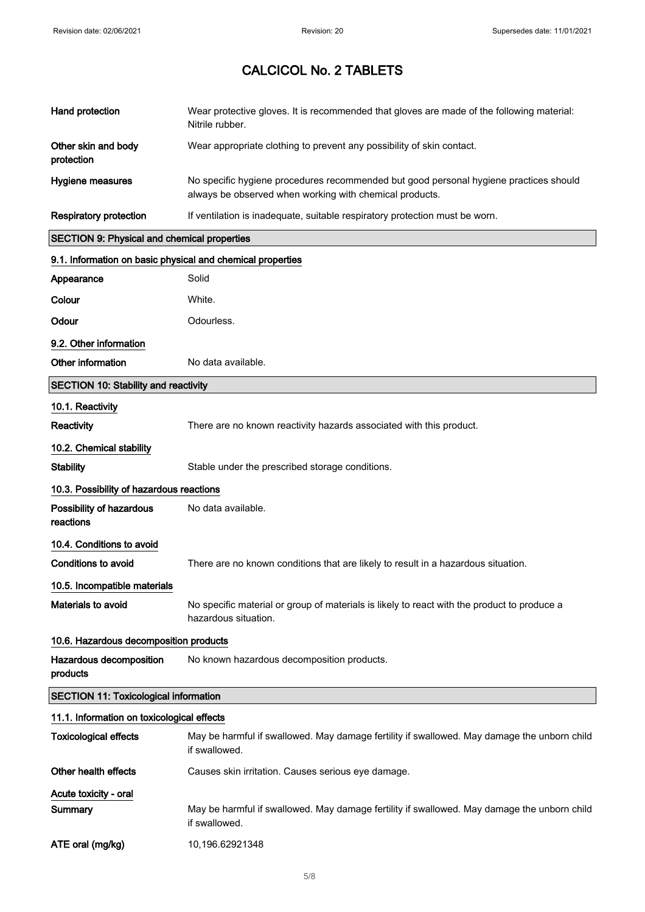| Hand protection                                            | Wear protective gloves. It is recommended that gloves are made of the following material:<br>Nitrile rubber.                                     |
|------------------------------------------------------------|--------------------------------------------------------------------------------------------------------------------------------------------------|
| Other skin and body<br>protection                          | Wear appropriate clothing to prevent any possibility of skin contact.                                                                            |
| Hygiene measures                                           | No specific hygiene procedures recommended but good personal hygiene practices should<br>always be observed when working with chemical products. |
| <b>Respiratory protection</b>                              | If ventilation is inadequate, suitable respiratory protection must be worn.                                                                      |
| <b>SECTION 9: Physical and chemical properties</b>         |                                                                                                                                                  |
| 9.1. Information on basic physical and chemical properties |                                                                                                                                                  |
| Appearance                                                 | Solid                                                                                                                                            |
| Colour                                                     | White.                                                                                                                                           |
| Odour                                                      | Odourless.                                                                                                                                       |
| 9.2. Other information                                     |                                                                                                                                                  |
| Other information                                          | No data available.                                                                                                                               |
| <b>SECTION 10: Stability and reactivity</b>                |                                                                                                                                                  |
| 10.1. Reactivity                                           |                                                                                                                                                  |
| Reactivity                                                 | There are no known reactivity hazards associated with this product.                                                                              |
| 10.2. Chemical stability                                   |                                                                                                                                                  |
| <b>Stability</b>                                           | Stable under the prescribed storage conditions.                                                                                                  |
| 10.3. Possibility of hazardous reactions                   |                                                                                                                                                  |
| Possibility of hazardous<br>reactions                      | No data available.                                                                                                                               |
| 10.4. Conditions to avoid                                  |                                                                                                                                                  |
| <b>Conditions to avoid</b>                                 | There are no known conditions that are likely to result in a hazardous situation.                                                                |
| 10.5. Incompatible materials                               |                                                                                                                                                  |
| <b>Materials to avoid</b>                                  | No specific material or group of materials is likely to react with the product to produce a<br>hazardous situation.                              |
| 10.6. Hazardous decomposition products                     |                                                                                                                                                  |
| Hazardous decomposition<br>products                        | No known hazardous decomposition products.                                                                                                       |
| <b>SECTION 11: Toxicological information</b>               |                                                                                                                                                  |
| 11.1. Information on toxicological effects                 |                                                                                                                                                  |
| <b>Toxicological effects</b>                               | May be harmful if swallowed. May damage fertility if swallowed. May damage the unborn child<br>if swallowed.                                     |
| Other health effects                                       | Causes skin irritation. Causes serious eye damage.                                                                                               |
| Acute toxicity - oral                                      |                                                                                                                                                  |
| Summary                                                    | May be harmful if swallowed. May damage fertility if swallowed. May damage the unborn child<br>if swallowed.                                     |
| ATE oral (mg/kg)                                           | 10,196.62921348                                                                                                                                  |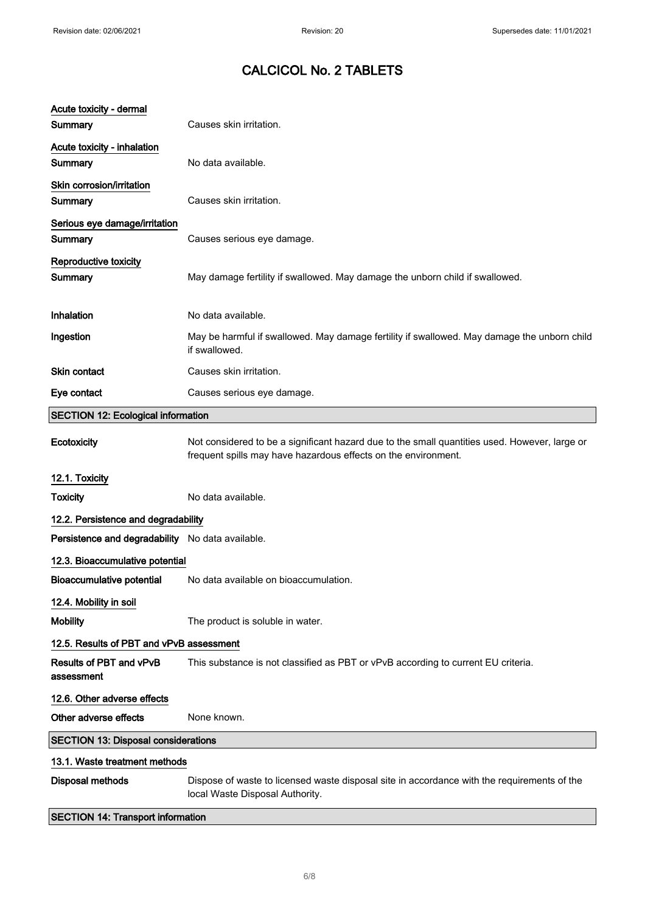| Acute toxicity - dermal                          |                                                                                                                                                                 |
|--------------------------------------------------|-----------------------------------------------------------------------------------------------------------------------------------------------------------------|
| Summary                                          | Causes skin irritation.                                                                                                                                         |
| Acute toxicity - inhalation<br>Summary           | No data available.                                                                                                                                              |
| Skin corrosion/irritation<br>Summary             | Causes skin irritation.                                                                                                                                         |
| Serious eye damage/irritation<br>Summary         | Causes serious eye damage.                                                                                                                                      |
| Reproductive toxicity<br>Summary                 | May damage fertility if swallowed. May damage the unborn child if swallowed.                                                                                    |
| Inhalation                                       | No data available.                                                                                                                                              |
| Ingestion                                        | May be harmful if swallowed. May damage fertility if swallowed. May damage the unborn child<br>if swallowed.                                                    |
| <b>Skin contact</b>                              | Causes skin irritation.                                                                                                                                         |
| Eye contact                                      | Causes serious eye damage.                                                                                                                                      |
| <b>SECTION 12: Ecological information</b>        |                                                                                                                                                                 |
| Ecotoxicity                                      | Not considered to be a significant hazard due to the small quantities used. However, large or<br>frequent spills may have hazardous effects on the environment. |
| 12.1. Toxicity                                   |                                                                                                                                                                 |
| <b>Toxicity</b>                                  | No data available.                                                                                                                                              |
| 12.2. Persistence and degradability              |                                                                                                                                                                 |
| Persistence and degradability No data available. |                                                                                                                                                                 |
| 12.3. Bioaccumulative potential                  |                                                                                                                                                                 |
| <b>Bioaccumulative potential</b>                 | No data available on bioaccumulation.                                                                                                                           |
| 12.4. Mobility in soil                           |                                                                                                                                                                 |
| <b>Mobility</b>                                  | The product is soluble in water.                                                                                                                                |
| 12.5. Results of PBT and vPvB assessment         |                                                                                                                                                                 |
| Results of PBT and vPvB<br>assessment            | This substance is not classified as PBT or vPvB according to current EU criteria.                                                                               |
| 12.6. Other adverse effects                      |                                                                                                                                                                 |
| Other adverse effects                            | None known.                                                                                                                                                     |
| <b>SECTION 13: Disposal considerations</b>       |                                                                                                                                                                 |
| 13.1. Waste treatment methods                    |                                                                                                                                                                 |
| <b>Disposal methods</b>                          | Dispose of waste to licensed waste disposal site in accordance with the requirements of the<br>local Waste Disposal Authority.                                  |
| <b>SECTION 14: Transport information</b>         |                                                                                                                                                                 |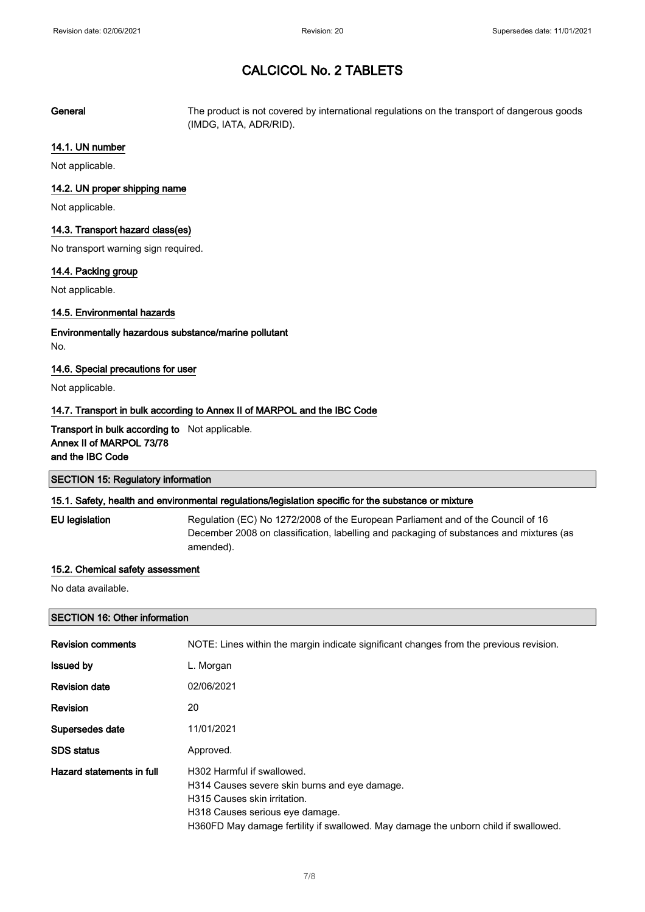General The product is not covered by international regulations on the transport of dangerous goods (IMDG, IATA, ADR/RID).

## 14.1. UN number

Not applicable.

## 14.2. UN proper shipping name

Not applicable.

## 14.3. Transport hazard class(es)

No transport warning sign required.

#### 14.4. Packing group

Not applicable.

## 14.5. Environmental hazards

Environmentally hazardous substance/marine pollutant No.

## 14.6. Special precautions for user

Not applicable.

## 14.7. Transport in bulk according to Annex II of MARPOL and the IBC Code

## Transport in bulk according to Not applicable. Annex II of MARPOL 73/78 and the IBC Code

| <b>SECTION 15: Regulatory information</b> |  |
|-------------------------------------------|--|
|                                           |  |

## 15.1. Safety, health and environmental regulations/legislation specific for the substance or mixture

EU legislation Regulation (EC) No 1272/2008 of the European Parliament and of the Council of 16 December 2008 on classification, labelling and packaging of substances and mixtures (as amended).

## 15.2. Chemical safety assessment

No data available.

## SECTION 16: Other information

| <b>Revision comments</b>  | NOTE: Lines within the margin indicate significant changes from the previous revision.                                                                                                                                                |
|---------------------------|---------------------------------------------------------------------------------------------------------------------------------------------------------------------------------------------------------------------------------------|
| <b>Issued by</b>          | L. Morgan                                                                                                                                                                                                                             |
| <b>Revision date</b>      | 02/06/2021                                                                                                                                                                                                                            |
| <b>Revision</b>           | 20                                                                                                                                                                                                                                    |
| Supersedes date           | 11/01/2021                                                                                                                                                                                                                            |
| <b>SDS</b> status         | Approved.                                                                                                                                                                                                                             |
| Hazard statements in full | H302 Harmful if swallowed.<br>H314 Causes severe skin burns and eye damage.<br>H315 Causes skin irritation.<br>H318 Causes serious eye damage.<br>H360FD May damage fertility if swallowed. May damage the unborn child if swallowed. |